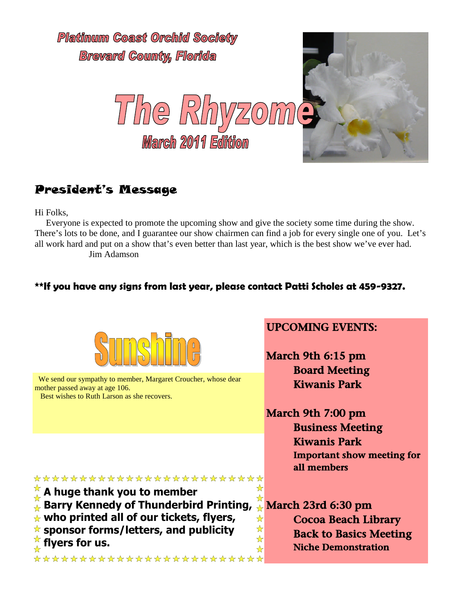

## President's Message

Hi Folks,

Everyone is expected to promote the upcoming show and give the society some time during the show. There's lots to be done, and I guarantee our show chairmen can find a job for every single one of you. Let's all work hard and put on a show that's even better than last year, which is the best show we've ever had. Jim Adamson

### **\*\*If you have any signs from last year, please contact Patti Scholes at 459-9327.**



We send our sympathy to member, Margaret Croucher, whose dear mother passed away at age 106.

Best wishes to Ruth Larson as she recovers.

## UPCOMING EVENTS:

March 9th 6:15 pm Board Meeting Kiwanis Park

March 9th 7:00 pm Business Meeting Kiwanis Park Important show meeting for all members

#### \*\*\*\*\*\*\*\*\*\*\*\*\*\*\*\*\*\*\*\*\*\*\*\*\* ☆

**A huge thank you to member**

- **Barry Kennedy of Thunderbird Printing,** 琴琴琴
- **who printed all of our tickets, flyers,**

**sponsor forms/letters, and publicity flyers for us.**

\*\*\*\*\*\*\*\*\*\*\*\*\*\*\*\*\*\*\*\*\*\*\*\*\*

 $\frac{\star}{\star}$  March 23rd 6:30 pm Cocoa Beach Library Back to Basics Meeting Niche Demonstration

 $\frac{1}{\sqrt{2}}$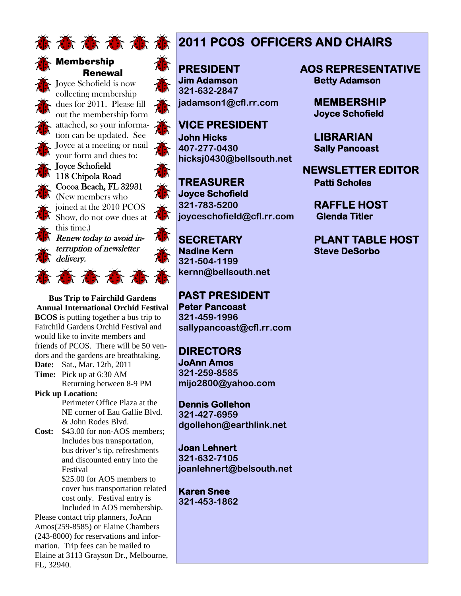



Membership Renewal

Joyce Schofield is now collecting membership dues for 2011. Please fill out the membership form attached, so your information can be updated. See Joyce at a meeting or mail your form and dues to:



joined at the 2010 PCOS Show, do not owe dues at this time.) Renew today to avoid interruption of newsletter  $\overline{\phantom{a}}$  delivery.

意意意意意

**Bus Trip to Fairchild Gardens Annual International Orchid Festival BCOS** is putting together a bus trip to Fairchild Gardens Orchid Festival and would like to invite members and friends of PCOS. There will be 50 vendors and the gardens are breathtaking. **Date:** Sat., Mar. 12th, 2011

**Time:** Pick up at 6:30 AM

Returning between 8-9 PM

**Pick up Location:** Perimeter Office Plaza at the

NE corner of Eau Gallie Blvd. & John Rodes Blvd.

**Cost:** \$43.00 for non-AOS members; Includes bus transportation, bus driver's tip, refreshments and discounted entry into the Festival \$25.00 for AOS members to

cover bus transportation related cost only. Festival entry is Included in AOS membership.

Please contact trip planners, JoAnn Amos(259-8585) or Elaine Chambers (243-8000) for reservations and information. Trip fees can be mailed to Elaine at 3113 Grayson Dr., Melbourne, FL, 32940.

# **意高高高高高2011 PCOS OFFICERS AND CHAIRS**

**Jim Adamson Betty Adamson 321-632-2847 jadamson1@cfl.rr.com MEMBERSHIP**

**VICE PRESIDENT John Hicks LIBRARIAN 407-277-0430 Sally Pancoast hicksj0430@bellsouth.net**

**TREASURER Patti Scholes Joyce Schofield 321-783-5200 RAFFLE HOST joyceschofield@cfl.rr.com Glenda Titler**

**Nadine Kern Steve DeSorbo 321-504-1199 kernn@bellsouth.net**

**PAST PRESIDENT Peter Pancoast 321-459-1996 sallypancoast@cfl.rr.com**

**DIRECTORS JoAnn Amos 321-259-8585 mijo2800@yahoo.com**

**Dennis Gollehon 321-427-6959 dgollehon@earthlink.net**

**Joan Lehnert 321-632-7105 joanlehnert@belsouth.net**

**Karen Snee 321-453-1862**

**PRESIDENT AOS REPRESENTATIVE**

**Joyce Schofield**

**NEWSLETTER EDITOR**

**SECRETARY PLANT TABLE HOST**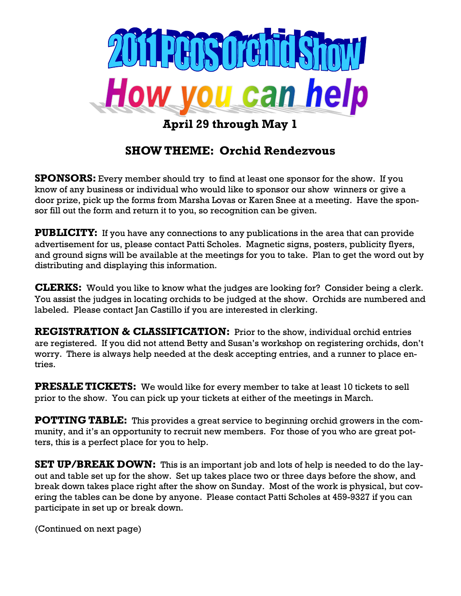

**April 29 through May 1**

## **SHOW THEME: Orchid Rendezvous**

**SPONSORS:** Every member should try to find at least one sponsor for the show. If you know of any business or individual who would like to sponsor our show winners or give a door prize, pick up the forms from Marsha Lovas or Karen Snee at a meeting. Have the sponsor fill out the form and return it to you, so recognition can be given.

**PUBLICITY:** If you have any connections to any publications in the area that can provide advertisement for us, please contact Patti Scholes. Magnetic signs, posters, publicity flyers, and ground signs will be available at the meetings for you to take. Plan to get the word out by distributing and displaying this information.

**CLERKS:** Would you like to know what the judges are looking for? Consider being a clerk. You assist the judges in locating orchids to be judged at the show. Orchids are numbered and labeled. Please contact Jan Castillo if you are interested in clerking.

**REGISTRATION & CLASSIFICATION:** Prior to the show, individual orchid entries are registered. If you did not attend Betty and Susan's workshop on registering orchids, don't worry. There is always help needed at the desk accepting entries, and a runner to place entries.

**PRESALE TICKETS:** We would like for every member to take at least 10 tickets to sell prior to the show. You can pick up your tickets at either of the meetings in March.

**POTTING TABLE:** This provides a great service to beginning orchid growers in the community, and it's an opportunity to recruit new members. For those of you who are great potters, this is a perfect place for you to help.

**SET UP/BREAK DOWN:** This is an important job and lots of help is needed to do the layout and table set up for the show. Set up takes place two or three days before the show, and break down takes place right after the show on Sunday. Most of the work is physical, but covering the tables can be done by anyone. Please contact Patti Scholes at 459-9327 if you can participate in set up or break down.

(Continued on next page)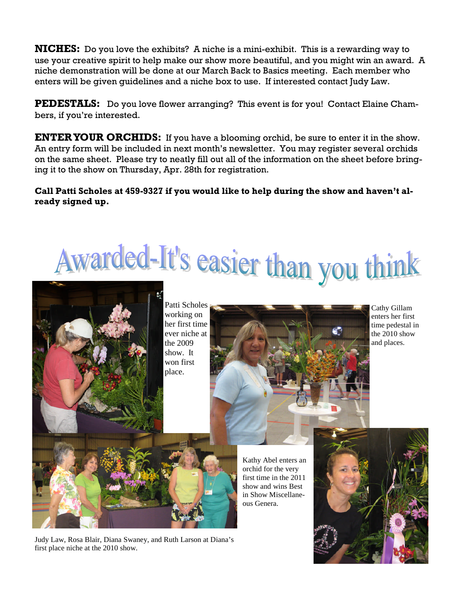**NICHES:** Do you love the exhibits? A niche is a mini-exhibit. This is a rewarding way to use your creative spirit to help make our show more beautiful, and you might win an award. A niche demonstration will be done at our March Back to Basics meeting. Each member who enters will be given guidelines and a niche box to use. If interested contact Judy Law.

**PEDESTALS:** Do you love flower arranging? This event is for you! Contact Elaine Chambers, if you're interested.

**ENTERYOUR ORCHIDS:** If you have a blooming orchid, be sure to enter it in the show. An entry form will be included in next month's newsletter. You may register several orchids on the same sheet. Please try to neatly fill out all of the information on the sheet before bringing it to the show on Thursday, Apr. 28th for registration.

#### **Call Patti Scholes at 459-9327 if you would like to help during the show and haven't already signed up.**





Patti Scholes working on her first time ever niche at the 2009 show. It won first place.



Cathy Gillam enters her first time pedestal in the 2010 show and places.

Kathy Abel enters an orchid for the very first time in the 2011 show and wins Best in Show Miscellaneous Genera.



Judy Law, Rosa Blair, Diana Swaney, and Ruth Larson at Diana's first place niche at the 2010 show.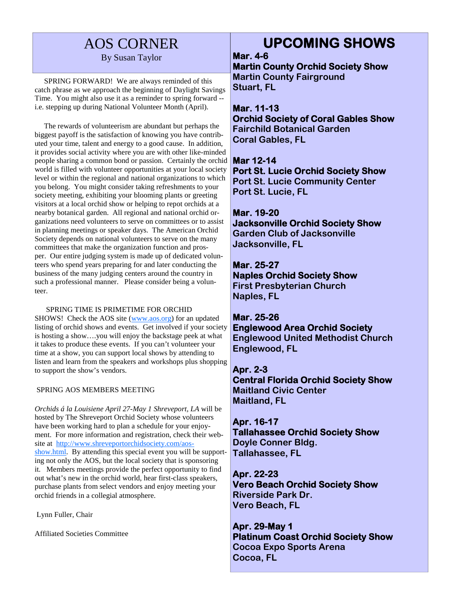# AOS CORNER

#### By Susan Taylor

SPRING FORWARD! We are always reminded of this catch phrase as we approach the beginning of Daylight Savings Time. You might also use it as a reminder to spring forward - i.e. stepping up during National Volunteer Month (April).

The rewards of volunteerism are abundant but perhaps the biggest payoff is the satisfaction of knowing you have contributed your time, talent and energy to a good cause. In addition, it provides social activity where you are with other like-minded people sharing a common bond or passion. Certainly the orchid world is filled with volunteer opportunities at your local society level or within the regional and national organizations to which you belong. You might consider taking refreshments to your society meeting, exhibiting your blooming plants or greeting visitors at a local orchid show or helping to repot orchids at a nearby botanical garden. All regional and national orchid organizations need volunteers to serve on committees or to assist in planning meetings or speaker days. The American Orchid Society depends on national volunteers to serve on the many committees that make the organization function and prosper. Our entire judging system is made up of dedicated volunteers who spend years preparing for and later conducting the business of the many judging centers around the country in such a professional manner. Please consider being a volunteer.

#### SPRING TIME IS PRIMETIME FOR ORCHID

SHOWS! Check the AOS site (www.aos.org) for an updated listing of orchid shows and events. Get involved if your society is hosting a show….you will enjoy the backstage peek at what it takes to produce these events. If you can't volunteer your time at a show, you can support local shows by attending to listen and learn from the speakers and workshops plus shopping to support the show's vendors.

#### SPRING AOS MEMBERS MEETING

*Orchids á la Louisiene April 27-May 1 Shreveport, LA* will be hosted by The Shreveport Orchid Society whose volunteers have been working hard to plan a schedule for your enjoyment. For more information and registration, check their website at http://www.shreveportorchidsociety.com/aosshow.html. By attending this special event you will be supporting not only the AOS, but the local society that is sponsoring it. Members meetings provide the perfect opportunity to find out what's new in the orchid world, hear first-class speakers, purchase plants from select vendors and enjoy meeting your orchid friends in a collegial atmosphere.

Lynn Fuller, Chair

Affiliated Societies Committee

# **UPCOMING SHOWS**

**Mar. 4-6**

**Martin County Orchid Society Show Martin County Fairground Stuart, FL**

**Mar. 11-13 Orchid Society of Coral Gables Show Fairchild Botanical Garden Coral Gables, FL**

**Mar 12-14 Port St. Lucie Orchid Society Show Port St. Lucie Community Center Port St. Lucie, FL**

#### **Mar. 19-20**

**Jacksonville Orchid Society Show Garden Club of Jacksonville Jacksonville, FL**

**Mar. 25-27 Naples Orchid Society Show First Presbyterian Church Naples, FL**

**Mar. 25-26 Englewood Area Orchid Society Englewood United Methodist Church Englewood, FL**

**Apr. 2-3 Central Florida Orchid Society Show Maitland Civic Center Maitland, FL**

**Apr. 16-17 Tallahassee Orchid Society Show Doyle Conner Bldg. Tallahassee, FL**

**Apr. 22-23 Vero Beach Orchid Society Show Riverside Park Dr. Vero Beach, FL**

**Apr. 29-May 1 Platinum Coast Orchid Society Show Cocoa Expo Sports Arena Cocoa, FL**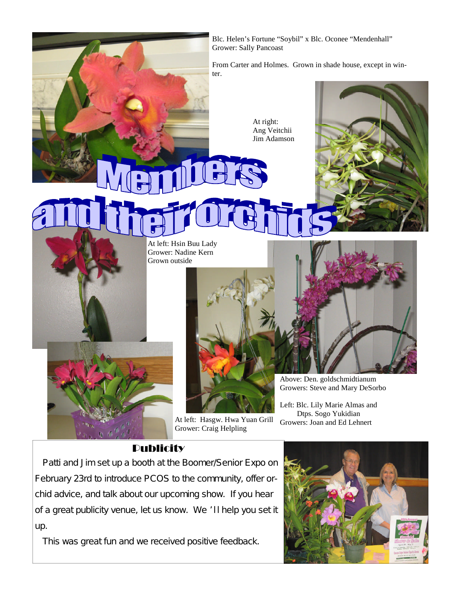

### **Publicity**

Patti and Jim set up a booth at the Boomer/Senior Expo on February 23rd to introduce PCOS to the community, offer orchid advice, and talk about our upcoming show. If you hear of a great publicity venue, let us know. We 'II help you set it up.

This was great fun and we received positive feedback.